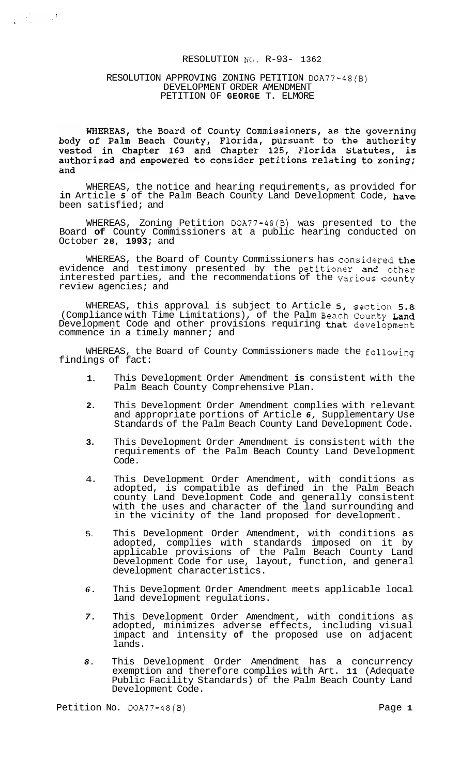# RESOLUTION **NG,** R-93- 1362

## RESOLUTION APPROVING ZONING PETITION DOA77-48(B) DEVELOPMENT ORDER AMENDMENT PETITION OF **GEORGE** T. ELMORE

 $\label{eq:2} \begin{array}{c} \mathcal{L}_{\text{max}}(\mathcal{L}_{\text{max}}) = \mathcal{L}_{\text{max}} \\ \mathcal{L}_{\text{max}}(\mathcal{L}_{\text{max}}) = \mathcal{L}_{\text{max}} \\ \mathcal{L}_{\text{max}}(\mathcal{L}_{\text{max}}) = \mathcal{L}_{\text{max}} \\ \mathcal{L}_{\text{max}}(\mathcal{L}_{\text{max}}) = \mathcal{L}_{\text{max}} \\ \mathcal{L}_{\text{max}}(\mathcal{L}_{\text{max}}) = \mathcal{L}_{\text{max}} \\ \mathcal{L}_{\text{max}}(\mathcal{L}_{\text{max}}) = \math$ 

WHEREAS, the Board of County Commissioners, as the governing<br>body of Palm Beach County, Florida, pursuant to the authority<br>vested in Chapter 163 and Chapter 125, Florida Statutes, is authorized and empowered to consider petitions relating to zoning; and

WHEREAS, the notice and hearing requirements, as provided for **in** Article *5* of the Palm Beach County Land Development Code, have been satisfied; and

WHEREAS, Zoning Petition DOA77-48(B) was presented to the Board **of** County Commissioners at a public hearing conducted on October **28, 1993;** and

WHEREAS, the Board of County Commissioners has considered the evidence and testimony presented by the petitioner and other interested parties, and the recommendations of the various county review agencies; and

WHEREAS, this approval is subject to Article **5,** section **5.8**  (Compliance with Time Limitations), of the Palm Beach County Land Development Code and other provisions requiring that development commence in a timely manner; and

WHEREAS, the Board of County Commissioners made the following findings of fact:

- **1.**  This Development Order Amendment **is** consistent with the Palm Beach County Comprehensive Plan.
- **2.**  This Development Order Amendment complies with relevant and appropriate portions of Article *6,* Supplementary Use Standards of the Palm Beach County Land Development Code.
- **3.**  This Development Order Amendment is consistent with the requirements of the Palm Beach County Land Development Code.
- 4. This Development Order Amendment, with conditions as adopted, is compatible as defined in the Palm Beach county Land Development Code and generally consistent with the uses and character of the land surrounding and in the vicinity of the land proposed for development.
- 5. This Development Order Amendment, with conditions as adopted, complies with standards imposed on it by applicable provisions of the Palm Beach County Land Development Code for use, layout, function, and general development characteristics.
- *6.*  This Development Order Amendment meets applicable local land development regulations.
- *7.*  This Development Order Amendment, with conditions as adopted, minimizes adverse effects, including visual impact and intensity **of** the proposed use on adjacent lands.
- *8.*  This Development Order Amendment has a concurrency exemption and therefore complies with Art. **11** (Adequate Public Facility Standards) of the Palm Beach County Land Development Code.

Petition No. DOA77-48(B) Petition No. 2017-48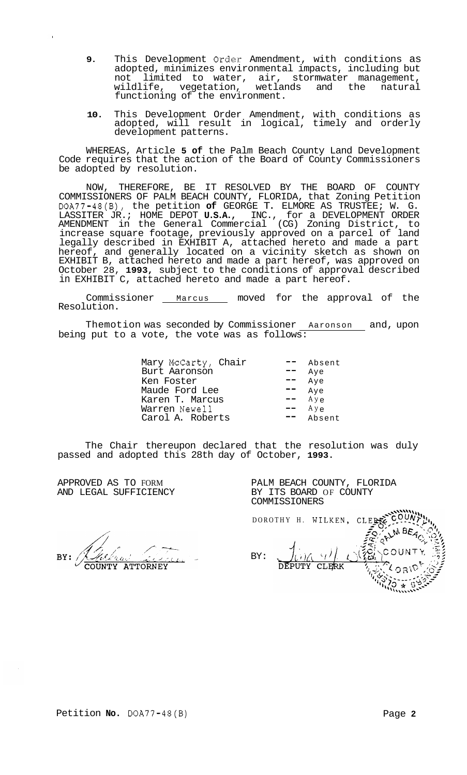- **9.** This Development **Order** Amendment, with conditions as adopted, minimizes environmental impacts, including but not limited to water, air, stormwater management,<br>wildlife, vegetation, wetlands and the natural wildlife, vegetation, functioning of the environment.
- **10.** This Development Order Amendment, with conditions as adopted, will result in logical, timely and orderly development patterns.

WHEREAS, Article **5 of** the Palm Beach County Land Development Code requires that the action of the Board of County Commissioners be adopted by resolution.

NOW, THEREFORE, BE IT RESOLVED BY THE BOARD OF COUNTY COMMISSIONERS OF PALM BEACH COUNTY, FLORIDA, that Zoning Petition DOA77-48(B), the petition **of** GEORGE T. ELMORE AS TRUSTEE; W. G. LASSITER JR.; HOME DEPOT **U.S.A.,** INC., for a DEVELOPMENT ORDER AMENDMENT in the General Commercial (CG) Zoning District, to increase square footage, previously approved on a parcel of land legally described in EXHIBIT A, attached hereto and made a part hereof, and generally located on a vicinity sketch as shown on EXHIBIT B, attached hereto and made a part hereof, was approved on October 28, **1993,** subject to the conditions of approval described in EXHIBIT C, attached hereto and made a part hereof.

Commissioner \_\_ Marcus \_\_ moved for the approval of the Resolution.

Themotion was seconded by Commissioner <u>Aaronson and</u>, upon being put to a vote, the vote was as follows:  $\overline{\phantom{a}}$ 

| Mary McCarty, Chair | Absent    |
|---------------------|-----------|
| Burt Aaronson       | Aye       |
| Ken Foster          | Aye       |
| Maude Ford Lee      | Aye       |
| Karen T. Marcus     | $Ay \in$  |
| Warren Newell       | $Ay \rho$ |
| Carol A. Roberts    | Absent    |

The Chair thereupon declared that the resolution was duly passed and adopted this 28th day of October, **1993.** 

APPROVED AS TO FORM AND LEGAL SUFFICIENCY

**ATTORNEY** 

PALM BEACH COUNTY, FLORIDA BY ITS BOARD OF COUNTY COMMISSIONERS

DOROTHY H. WILKEN PALM BEAC BY: CLERK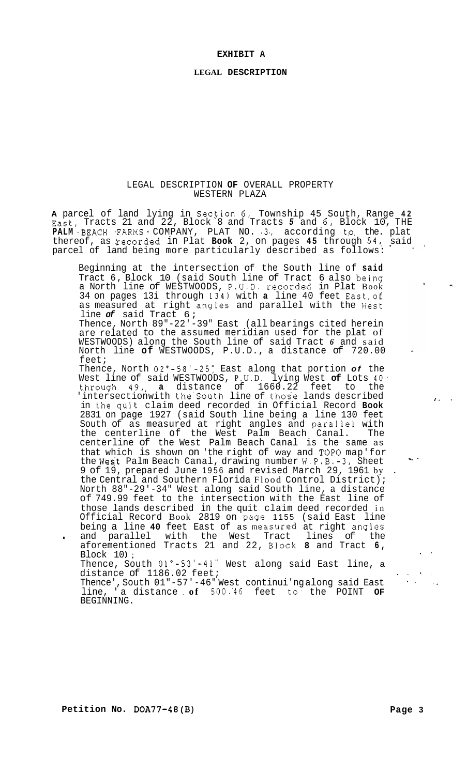#### <span id="page-2-0"></span>**LEGAL DESCRIPTION**

## LEGAL DESCRIPTION **OF** OVERALL PROPERTY WESTERN PLAZA

**A** parcel of land lying in Sec!ion **6,** Township 45 South, Range **42**  East, Tracts 21 and 22, Block 8 and Tracts *5* and 6, Block 10, THE PALM BEACH FARMS COMPANY, PLAT NO. 3. according to the plat thereof, as recorded in Plat **Book** 2, on pages 45 through 54, said parcel of land being more particularly described as follows:

Beginning at the intersection of the South line of **said**  Tract 6, Block 10 (said South line of Tract 6 also being a North line of WESTWOODS, P.U.D. recorded in Plat Book 34 on pages 13i through 134) with **a** line 40 feet East,of as measured at right angles and parallel with the West line *of* said Tract 6;

Thence, North 89"-22'-39" East (all bearings cited herein are related to the assumed meridian used for the plat of WESTWOODS) along the South line of said Tract *6* and said North line **of** WESTWOODS, P.U.D., a distance of 720.00 feet;

Thence, North 02"-58'-25: East along that portion *of* the West line of said WESTWOODS, P.U.D. lying West **of** Lots **40.**  t.hrough 49,, **a** distance of 1660.22 feet to the Intersectionwith the South line of those lands described in the,quit claim deed recorded in Official Record **Book**  2831 on page 1927 (said South line being a line 130 feet South of as measured at right angles and parallei with the centerline of the West Palm Beach Canal. The centerline of the West Palm Beach Canal is the same as that which is shown on 'the right of way and TOP0 map'for the West Palm Beach Canal, drawing number W.P.B.-3, Sheet 9 of 19, prepared June 1956 and revised March 29, 1961 by the Central and Southern Florida Flood Control District); North 88"-29'-34" West along said South line, a distance of 749.99 feet to the intersection with the East line of those lands described in the quit claim deed recorded in Official Record Book 2819 on page 1155 (said East line being a line **40** feet East of as messured at right anglss . and parallel with the West Tract lines of the aforementioned Tracts 21 and 22, alock **8** and Tract **6,**  Block  $10$  ; Thence, South  $01^{\circ}$ -53'-41" West along said East line, a

distance of 1186.02 feet;

Thence', South 01"-57'-46" West continui'ng along said East line, 'a distance , **of** 500.'46 feet to, the POINT **OF**  BEGINNING.

*J.* .

 $\mathcal{R}^{\mathcal{C}}$ 

 $\sim$ 

..

.\*. .. ..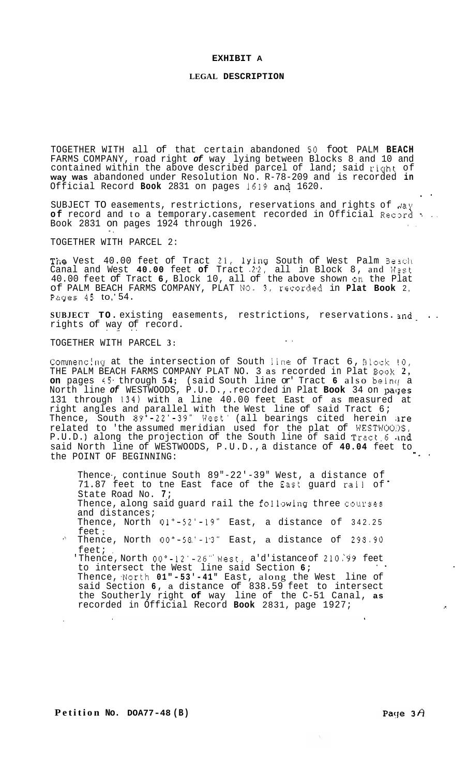#### **LEGAL DESCRIPTION**

TOGETHER WITH all of that certain abandoned **SO** foot PALM **BEACH**  FARMS COMPANY, road right *of* way lying between Blocks 8 and 10 and contained within the above described parcel of land; said right of **way was** abandoned under Resolution No. R-78-209 and is recorded **in**  Official Record Book 2831 on pages 1619 and 1620.

SUBJECT TO easements, restrictions, reservations and rights of  $\mu$ ay of record and to a temporary. casement recorded in Official Record **.** . . Book 2831 on pages 1924 through 1926. .. ..

TOGETHER WITH PARCEL 2:

The Vest 40.00 feet of Tract 21, lYincJ South of West Palm **3a3ch**  Canal and West **40.00** feet **of** Tract -2.2, all in Block 8, and U.st 40.00 feet of Tract **6,** Block 10, all of the above shown **OR** the Plat of PALM BEACH FARMS COMPANY, PLAT **NO.** *3,* rGcorded in **Plat Book** 2, Pzges **45** to,' 54.

**SUBJECT TO.** existing easements, restrictions, reservations. and .. rights of way of record.

..

TOGETHER WITH PARCEL **3:** 

Commencing at the intersection of South line of Tract 6, Block <mark>!0</mark>, THE PALM BEACH FARMS COMPANY PLAT NO. 3 as recorded in Plat **Book 2, on** pages 45 through 54; (said South line or' Tract 6 also being a North line *of* WESTWOODS, P.U.D., .recorded in Plat **Book** 34 on pacJes 131 through 134) with a line 40.00 feet East of as measured at right angles and parallel with the West line of said Tract 6; Thence, South  $89^\circ$ -22'-39" West' (all bearings cited herein  $\texttt{are}$ related to 'the assumed meridian used for the plat of WESTWOO:>S, P.U.D.) along the projection of the South line of said Tract 6 and said North line of WESTWOODS, P.U.D., a distance of **40.04** feet to ...<br>the POINT OF BEGINNING:

Thence-, continue South 89"-22'-39" West, a distance of 71.87 feet to tne East face of the East guard rail of State Road No. **7;**  Thence, along said guard rail the following three courses and distances; Thence, North 01"-52'-19" East, a distance of 342.25

feet ;

\*' Thence, North 00"-58.'-1'3" East, a distance of *298.90*  feet;

'Thence,North 00°-12'-26" West, a'd'istance of 210.99 feet to intersect the West line said Section **6; a.**  Thence, North 01"-53'-41" East, along the West line of said Section **6,** a distance of 838.59 feet to intersect the Southerly right **of** way line of the C-51 Canal, **as**  recorded in Official Record **Book** 2831, page 1927; *<sup>c</sup>*

..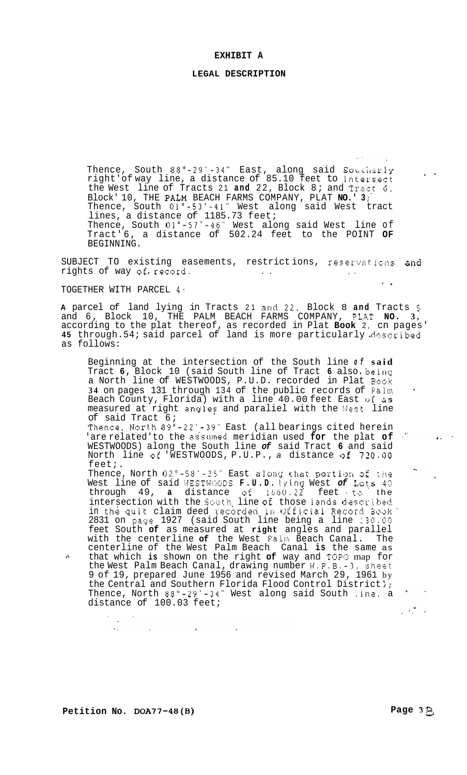#### **LEGAL DESCRIPTION**

Thence, South 88°-29'-34" East, along said Southerly right'of way line, a distance of 85.10 feet to intersect the West line of Tracts 21 **and** 22, Block 8; and Tract **6,**  Block' 10, THE PALM BEACH FARMS COMPANY, PLAT **NO.' 3** ;" Thence, South 01"-53'-41" West along said West tract lines, a distance of 1185.73 feet; Thence, South 01"-57'-46" West along said West line of Tract' 6, a distance of 502.24 feet to the POINT **OF**  BEGINNING.

SUBJECT TO existing easements, restrictions, reservations and rights of way of  $r$ ecord.  $\qquad \qquad \ldots$ -.

TOGETHER WITH PARCEL 4:

**A** parcel of land lying in Tracts 21 and 22. Block 8 **and** Tracts **5**  and 6, Block 10, THE PALM BEACH FARMS COMPANY, PLRT **NO. 3,**  according to the plat thereof, as recorded in Plat **Book** 2, cn pages' **45** through.54; said parcel of land is more particularly described as follows:

Beginning at the intersection of the South line *of* **said**  Tract **6,** Block 10 (said South line of Tract **6** also. beinq a North line of WESTWOODS, P.U.D. recorded in Plat Book **34** on pages 131 through 134 of the public records of Palm Beach County, Florida) with a line 40.00 feet East ijf **3s**  measured at right angles and paraliel with the West line of said Tract 6;

Thence, North 89°-22'-39" East (all bearings cited herein 'are related'to the assumed meridian used for the plat of WESTWOODS) along the South line *of* said Tract **6** and said North line of 'WESTWOODS, P.U.P., *a* distance of 720.00 feet;.

Thence, North 02°-58'-25" East along that portion of the West line of said WESTWOODS **F.U.D.** Iying West of Lots 40  $through 49$ , a distance of  $1560.22$  feet to the intersection with the South line of those lands described in the quit claim deed rscbrdeci in Qlficizl Recsrd **Soak'**  2831 on page 1927 (said South line being a line 130.00 feet South **of** as measured at **right** angles and parallel with the centerline **of** the West Falm Beach Canal. The centerline of the West Palm Beach Canal **is** the same as -? that which **is** shown on the right **of** way and TOP0 map for the West Palm Beach Canal, drawing number W.P.B.-3, sheet 9 of 19, prepared June 1956 and revised March 29, 1961 by the Central and Southern Florida Flood Control District); Thence, North 88"-29'-34" West along said South 1in2, a distance of 100.03 feet;  $\mathcal{L}_{\text{max}}$  , where  $\mathcal{L}_{\text{max}}$ 

 $\sim$  .

 $\Delta\omega_{\rm{eff}}$ 

 $\sim 10$ 

 $\sim 10^{-11}$ 

.\*

 $\mathcal{L}(\mathcal{L})$  and  $\mathcal{L}(\mathcal{L})$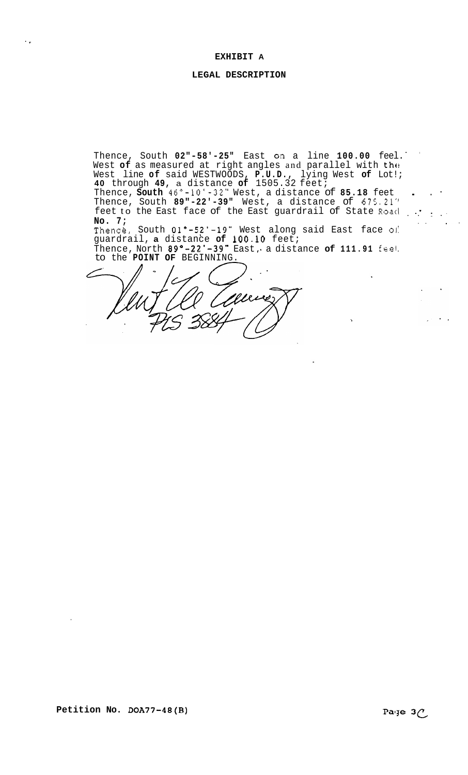'.

## **LEGAL DESCRIPTION**

Thence, South **02"-58'-25"** East **or!** a line **100.00** feel. West of as measured at right angles and parallel with the West line **of** said WESTWOODS, **P.U.D.,** lying West **of** Lot!; ..

**40** through **49,** a distance **of** 1505.32 feet; Thence, **South 46"-10'-32"** West, a distance of **85.18** feet . . - Thence, South **89"-22'-39"** West, a distance of 675.21" feet to the East face of the East guardrail of State Road ... **No. 7;**  .. .. .. \*.

Thence, South  $01^{\circ}-52^{\circ}-19^{\circ}$  West along said East face of guardrail, **a** distance **of 100.10** feet; Thence, North 89°-22'-39" East, a distance of 111.91 feel

to the **POINT OF** BEGINNING.

╱

 $\sim$   $\sim$   $\sim$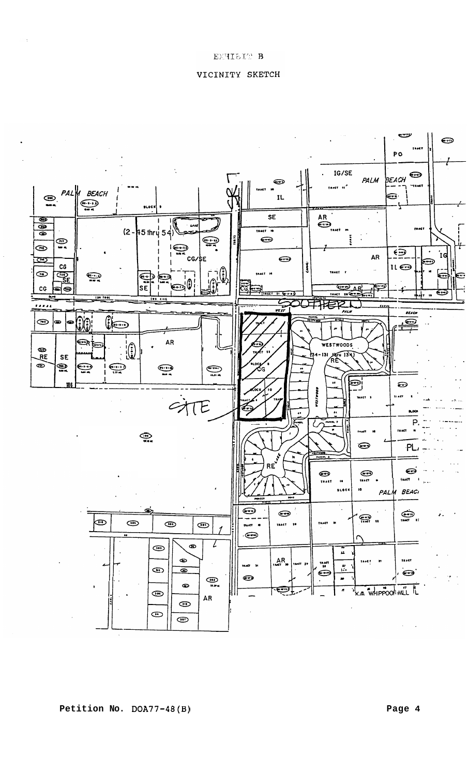

VICINITY SKETCH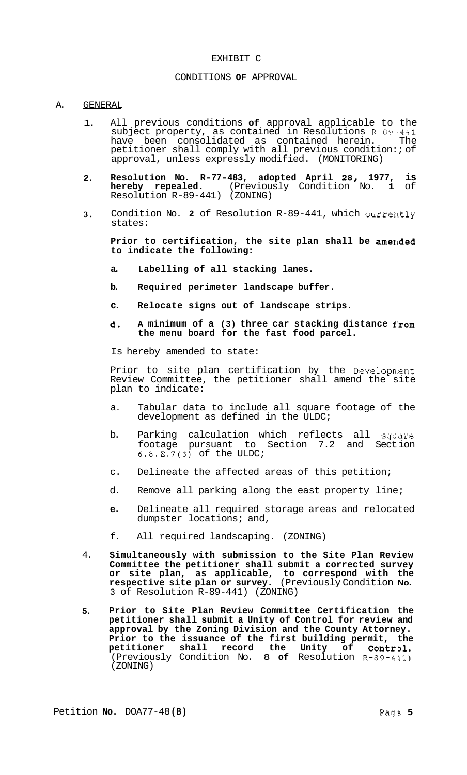## EXHIBIT C

# CONDITIONS **OF** APPROVAL

## A. GENERAL

- 1. All previous conditions **of** approval applicable to the subject property, as contained in Resolutions R-89.-441 have been consolidated as contained herein. The petitioner shall comply with all previous condition:; of approval, unless expressly modified. (MONITORING)
- **2. Resolution No. R-77-483, adopted April 28, 1977, is hereby repealed.** (Previously Condition No. **1** of Resolution R-89-441) (ZONING)
- **3.**  Condition No. 2 of Resolution R-89-441, which currently states:

Prior to certification, the site plan shall be amended **to indicate the following:** 

- **a. Labelling of all stacking lanes.**
- **b. Required perimeter landscape buffer.**
- **c. Relocate signs out of landscape strips.**
- **6. A minimum of a (3) three car stacking distance i'rom the menu board for the fast food parcel.**

Is hereby amended to state:

Prior to site plan certification by the Development Review Committee, the petitioner shall amend the site plan to indicate:

- a. Tabular data to include all square footage of the development as defined in the ULDC;
- b. Parking calculation which reflects all square<br>footage pursuant to Section 7.2 and Section pursuant to Section 7.2 and Section  $6.8.E.7(3)$  of the ULDC;
- c. Delineate the affected areas of this petition;
- d. Remove all parking along the east property line;
- **e.** Delineate all required storage areas and relocated dumpster locations; and,
- f. All required landscaping. (ZONING)
- 4. **Simultaneously with submission to the Site Plan Review Committee the petitioner shall submit a corrected survey or site plan, as applicable, to correspond with the respective site plan or survey.** (Previously Condition **No.**  3 of Resolution R-89-441) (ZONING)
- **5. Prior to Site Plan Review Committee Certification the petitioner shall submit a Unity of Control for review and approval by the Zoning Division and the County Attorney.**  Prior to the issuance of the first building permit, the petitioner shall record the Unity of Control. petitioner shall record the (Previously Condition No. 8 **of** Resolution R-89-441) (ZONING)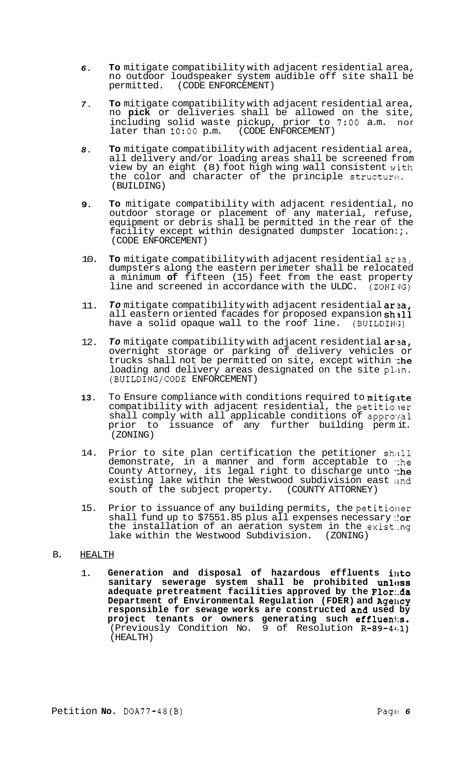- *6.*  **To** mitigate compatibility with adjacent residential area, no outdoor loudspeaker system audible off site shall be (CODE ENFORCEMENT)
- *7.*  **To** mitigate compatibility with adjacent residential area, no **pick** or deliveries shall be allowed on the site, including solid waste pickup, prior to *7:OO* a.m. nor later than  $10:00$  p.m.
- *8.*  **To** mitigate compatibility with adjacent residential area, all delivery and/or loading areas shall be screened from view by an eight (8) foot high wing wall consistent with the color and character of the principle structure. (BUILDING)
- **9. To** mitigate compatibility with adjacent residential, no outdoor storage or placement of any material, refuse, equipment or debris shall be permitted in the rear of the facility except within designated dumpster location:;. (CODE ENFORCEMENT)
- 10. **To** mitigate compatibility with adjacent residential arsa, dumpsters along the eastern perimeter shall be relocated a minimum **of** fifteen (15) feet from the east property line and screened in accordance with the ULDC.  $(20NI)/G$
- 11. *To* mitigate compatibility with adjacent residential ar'za, all eastern oriented facades for proposed expansion **shall** have a solid opaque wall to the roof line. (BUILDING)
- 12. To mitigate compatibility with adjacent residential area, overnight storage or parking of delivery vehicles or trucks shall not be permitted on site, except within the loading and delivery areas designated on the site plan. (BUILDING/CODE ENFORCEMENT)
- **13.**  To Ensure compliance with conditions required to mitigate compatibility with adjacent residential, the petitioner shall comply with all applicable conditions of approval prior to issuance of any further building perm it. (ZONING)
- 14. Prior to site plan certification the petitioner shall demonstrate, in a manner and form acceptable to ':he County Attorney, its legal right to discharge unto "he existing lake within the Westwood subdivision east and south of the subject property. (COUNTY ATTORNEY)
- 15. Prior to issuance of any building permits, the petitioner shall fund up to \$7551.85 plus all expenses necessary : or the installation of an aeration system in the exist:.ng lake within the Westwood Subdivision. (ZONING)

#### B. HEALTH

1. **Generation and disposal of hazardous effluents ilkto**  sanitary sewerage system shall be prohibited unless **adequate pretreatment facilities approved by the Flor:.da**  Department of Environmental Regulation (FDER) and Agency **responsible for sewage works are constructed an8 used by**  project tenants or owners generating such effluents. (Previously Condition No.  $9$  of Resolution  $R-89-44:1$ ) (HEALTH)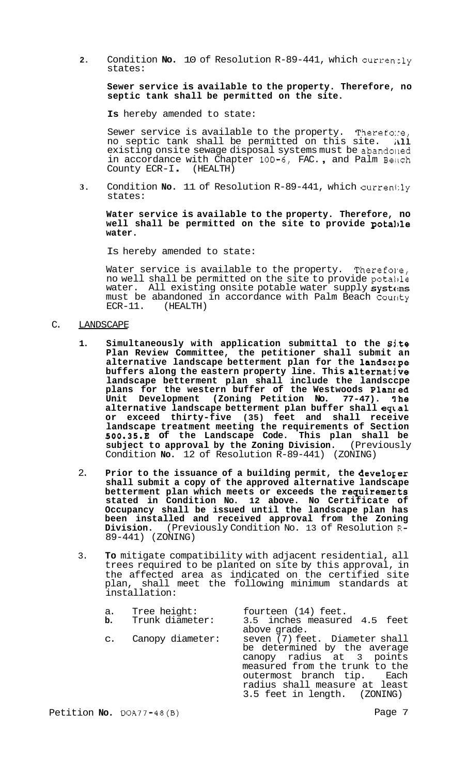**2.** Condition **No.** 10 of Resolution R-89-441, which curren:ly states:

**Sewer service is available to the property. Therefore, no septic tank shall be permitted on the site.** 

**Is** hereby amended to state:

Sewer service is available to the property. Therefoxe, no septic tank shall be permitted on this site.  $\hbox{all}$ existing onsite sewage disposal systems must be abandoned<br>in accordance with Chapter 10D-6, FAC., and Palm Beach in accordance with Chapter 100-6, FAC., and Palm Beach County ECR-I. (HEALTH)

**3.** Condition **No.** 11 of Resolution R-89-441, which currently states:

**Water service is available to the property. Therefore, no well shall be permitted on the site to provide pota1,le water.** 

Is hereby amended to state:

Water service is available to the property. Therefore, no well shall be permitted on the site to provide potaitle water. All existing onsite potable water supply systems must be abandoned in accordance with Palm Beach County ECR-11. (HEALTH) (HEALTH)

- C. LANDSCAPE
	- **1. Simultaneously with application submittal to the Si.te Plan Review Committee, the petitioner shall submit an alternative landscape betterment plan for the landscc,pe buffers along the eastern property line. This alternative landscape betterment plan shall include the landsccpe plans for the western buffer of the Westwoods Planr.ed**  Unit Development (Zoning Petition No. 77-47). The **alternative landscape betterment plan buffer shall eqval or exceed thirty-five (35) feet and shall receive landscape treatment meeting the requirements of Section 500.35.E of the Landscape Code. This plan shall be subject to approval by the Zoning Division.** (Previously Condition **No.** 12 of Resolution R-89-441) (ZONING)
	- 2. **Prior to the issuance of a building permit, the develoger shall submit a copy of the approved alternative landscape betterment plan which meets or exceeds the requirements stated in Condition No. 12 above. No Certificate of Occupancy shall be issued until the landscape plan has been installed and received approval from the Zoning Division.** (Previously Condition No. 13 of Resolution R-89-441) (ZONING)
	- 3. **To** mitigate compatibility with adjacent residential, all trees required to be planted on site by this approval, in the affected area as indicated on the certified site plan, shall meet the following minimum standards at installation:

| a.             | Tree height:     | fourteen (14) feet.                                                                                                                                                                                                          |
|----------------|------------------|------------------------------------------------------------------------------------------------------------------------------------------------------------------------------------------------------------------------------|
| b.             | Trunk diameter:  | 3.5 inches measured 4.5 feet<br>above grade.                                                                                                                                                                                 |
| $\mathsf{C}$ . | Canopy diameter: | seven (7) feet. Diameter shall<br>be determined by the average<br>canopy radius at 3 points<br>measured from the trunk to the<br>outermost branch tip. Each<br>radius shall measure at least<br>3.5 feet in length. (ZONING) |

Petition **No.** DOA77-48(B) Page 7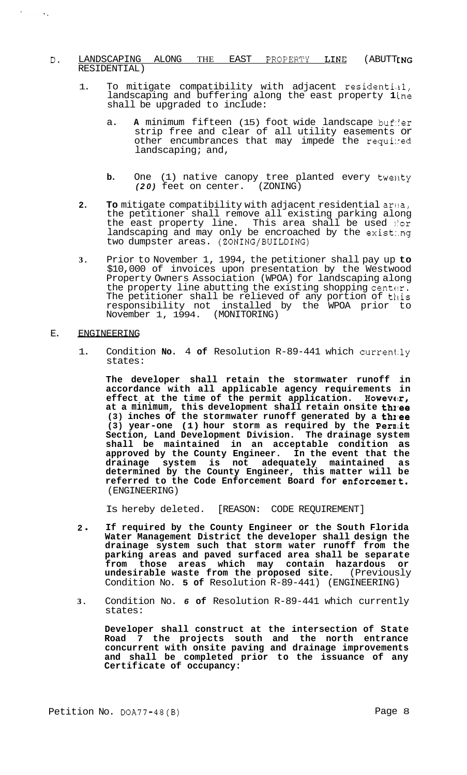# **D. LANDSCAPING ALONG THE EAST PROPERTY LINE (ABUTTING** RESIDENTIAL)

- 1. To mitigate compatibility with adjacent residential, landscaping and buffering along the east property **1** ine shall be upgraded to include:
	- a. A minimum fifteen (15) foot wide landscape buf:er strip free and clear of all utility easements or other encumbrances that may impede the requined landscaping; and,
	- **b.** One (1) native canopy tree planted every twenty (20) feet on center. (ZONING) *(20)* feet on center.
- 2. To mitigate compatibility with adjacent residential area, the petitioner shall remove all existing parking along the east property line. This area shall be used l'or landscaping and may only be encroached by the exist:.ng two dumpster areas. (ZONING/BUILDING)
- **3.** Prior to November 1, 1994, the petitioner shall pay up **to**  \$10,000 of invoices upon presentation by the Westwood Property Owners Association (WPOA) for landscaping along the property line abutting the existing shopping centor. The petitioner shall be relieved of any portion of this responsibility not installed by the WPOA prior to November 1, 1994. (MONITORING)

## E. ENGINEERING

 $\mathcal{L}^{\pm}$ 

 $\sim 10$ 

1. Condition **No.** 4 **of** Resolution R-89-441 which current.ly states:

**The developer shall retain the stormwater runoff in accordance with all applicable agency requirements in effect at the time of the permit application. However,** at a minimum, this development shall retain onsite **th**ree **(3) inches of the stormwater runoff generated by a thl.ee (3) year-one (1) hour storm as required by the Pern,it Section, Land Development Division. The drainage system shall be maintained in an acceptable condition as approved by the County Engineer. In the event that the**  drainage system is not adequately maintained **determined by the County Engineer, this matter will be referred to the Code Enforcement Board for enforcemert.**  (ENGINEERING)

Is hereby deleted. [REASON: CODE REQUIREMENT]

- **<sup>2</sup>**. **If required by the County Engineer or the South Florida Water Management District the developer shall design the drainage system such that storm water runoff from the parking areas and paved surfaced area shall be separate from those areas which may contain hazardous or undesirable waste from the proposed site.** (Previously Condition No. **5 of** Resolution R-89-441) (ENGINEERING)
- **3.** Condition No. *6* **of** Resolution R-89-441 which currently states:

**Developer shall construct at the intersection of State Road 7 the projects south and the north entrance concurrent with onsite paving and drainage improvements and shall be completed prior to the issuance of any Certificate of occupancy:**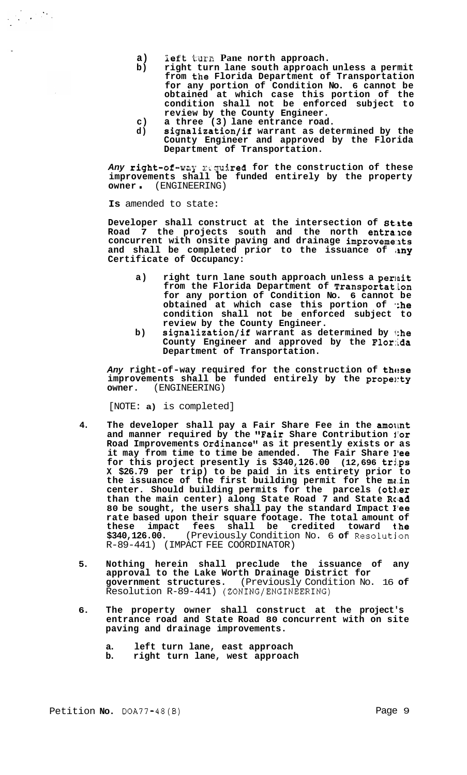- **a) left** turn **Pane north approach.**
- **b) right turn lane south approach unless a permit from the Florida Department of Transportation for any portion of Condition No. 6 cannot be obtained at which case this portion of the condition shall not be enforced subject to review by the County Engineer.**
- **c) a three (3) lane entrance road.**
- **d) signalization/if warrant as determined by the County Engineer and approved by the Florida Department of Transportation.**

Any right-of-way required for the construction of these **improvements shall be funded entirely by the property owner** . (ENGINEERING)

**Is** amended to state:

Developer shall construct at the intersection of State **Road 7 the projects south and the north entra:nce concurrent with onsite paving and drainage improveme:nts**  and shall be completed prior to the issuance of any **Certificate of Occupancy:** 

- **a) right turn lane south approach unless a perlait from the Florida Department of Transportat.ion for any portion of Condition No. 6 cannot be**  obtained at which case this portion of *the* **condition shall not be enforced subject to review by the County Engineer.**
- **b) signalization/if warrant as determined by 1:he County Engineer and approved by the F1or:ida Department of Transportation.**

Any right-of-way required for the construction of these improvements shall be funded entirely by the propenty **owner.** (ENGINEERING)

[NOTE: **a)** is completed]

- 4. The developer shall pay a Fair Share Fee in the amount **and manner required by the "Fair Share Contribution iior Road Improvements Ordinance" as it presently exists or as it may from time to time be amended. The Fair Share I'ee for this project presently is \$340,126.00 (12,696 trj,ps X \$26.79 per trip) to be paid in its entirety prior to the issuance of the first building permit for the mc.in center. Should building permits for the parcels (otller than the main center) along State Road 7 and State Rclad 80 be sought, the users shall pay the standard Impact I'ee rate based upon their square footage. The total amount of these impact fees shall be credited toward t.he \$340,126.00.** (Previously Condition No. 6 **of** Resolutjon R-89-441) (IMPACT FEE COORDINATOR)
- **5. Nothing herein shall preclude the issuance of any approval to the Lake Worth Drainage District for government structures.** (Previously Condition No. 16 **of**  Resolution R-89-441) (ZONING/ENGINEERING)
- **6. The property owner shall construct at the project's entrance road and State Road 80 concurrent with on site paving and drainage improvements.** 
	- **a. left turn lane, east approach**
	- **b. right turn lane, west approach**